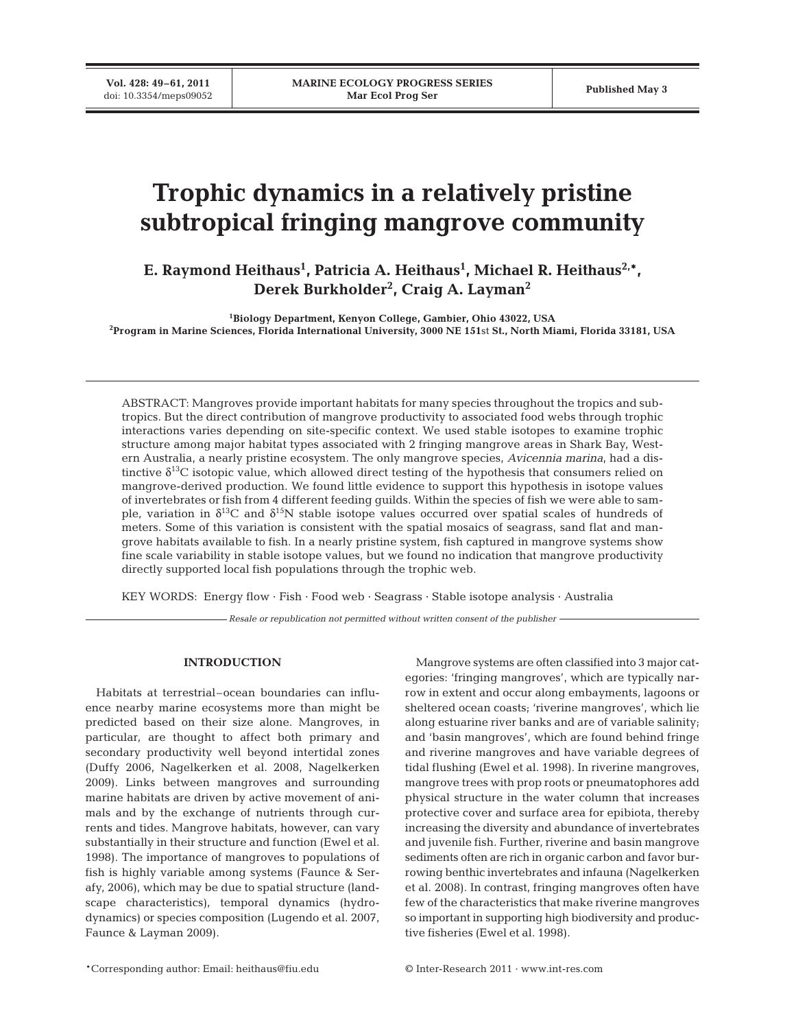**Vol. 428: 49–61, 2011**

# **Trophic dynamics in a relatively pristine subtropical fringing mangrove community**

E. Raymond Heithaus<sup>1</sup>, Patricia A. Heithaus<sup>1</sup>, Michael R. Heithaus<sup>2,\*</sup>, **Derek Burkholder2 , Craig A. Layman2**

**1 Biology Department, Kenyon College, Gambier, Ohio 43022, USA 2 Program in Marine Sciences, Florida International University, 3000 NE 151**st **St., North Miami, Florida 33181, USA**

ABSTRACT: Mangroves provide important habitats for many species throughout the tropics and subtropics. But the direct contribution of mangrove productivity to associated food webs through trophic interactions varies depending on site-specific context. We used stable isotopes to examine trophic structure among major habitat types associated with 2 fringing mangrove areas in Shark Bay, Western Australia, a nearly pristine ecosystem. The only mangrove species, *Avicennia marina*, had a distinctive  $\delta^{13}$ C isotopic value, which allowed direct testing of the hypothesis that consumers relied on mangrove-derived production. We found little evidence to support this hypothesis in isotope values of invertebrates or fish from 4 different feeding guilds. Within the species of fish we were able to sample, variation in  $\delta^{13}C$  and  $\delta^{15}N$  stable isotope values occurred over spatial scales of hundreds of meters. Some of this variation is consistent with the spatial mosaics of seagrass, sand flat and mangrove habitats available to fish. In a nearly pristine system, fish captured in mangrove systems show fine scale variability in stable isotope values, but we found no indication that mangrove productivity directly supported local fish populations through the trophic web.

KEY WORDS: Energy flow · Fish · Food web · Seagrass · Stable isotope analysis · Australia

*Resale or republication not permitted without written consent of the publisher*

# **INTRODUCTION**

Habitats at terrestrial–ocean boundaries can influence nearby marine ecosystems more than might be predicted based on their size alone. Mangroves, in particular, are thought to affect both primary and secondary productivity well beyond intertidal zones (Duffy 2006, Nagelkerken et al. 2008, Nagelkerken 2009). Links between mangroves and surrounding marine habitats are driven by active movement of animals and by the exchange of nutrients through currents and tides. Mangrove habitats, however, can vary substantially in their structure and function (Ewel et al. 1998). The importance of mangroves to populations of fish is highly variable among systems (Faunce & Serafy, 2006), which may be due to spatial structure (landscape characteristics), temporal dynamics (hydrodynamics) or species composition (Lugendo et al. 2007, Faunce & Layman 2009).

Mangrove systems are often classified into 3 major categories: 'fringing mangroves', which are typically narrow in extent and occur along embayments, lagoons or sheltered ocean coasts; 'riverine mangroves', which lie along estuarine river banks and are of variable salinity; and 'basin mangroves', which are found behind fringe and riverine mangroves and have variable degrees of tidal flushing (Ewel et al. 1998). In riverine mangroves, mangrove trees with prop roots or pneumatophores add physical structure in the water column that increases protective cover and surface area for epibiota, thereby increasing the diversity and abundance of invertebrates and juvenile fish. Further, riverine and basin mangrove sediments often are rich in organic carbon and favor burrowing benthic invertebrates and infauna (Nagelkerken et al. 2008). In contrast, fringing mangroves often have few of the characteristics that make riverine mangroves so important in supporting high biodiversity and productive fisheries (Ewel et al. 1998).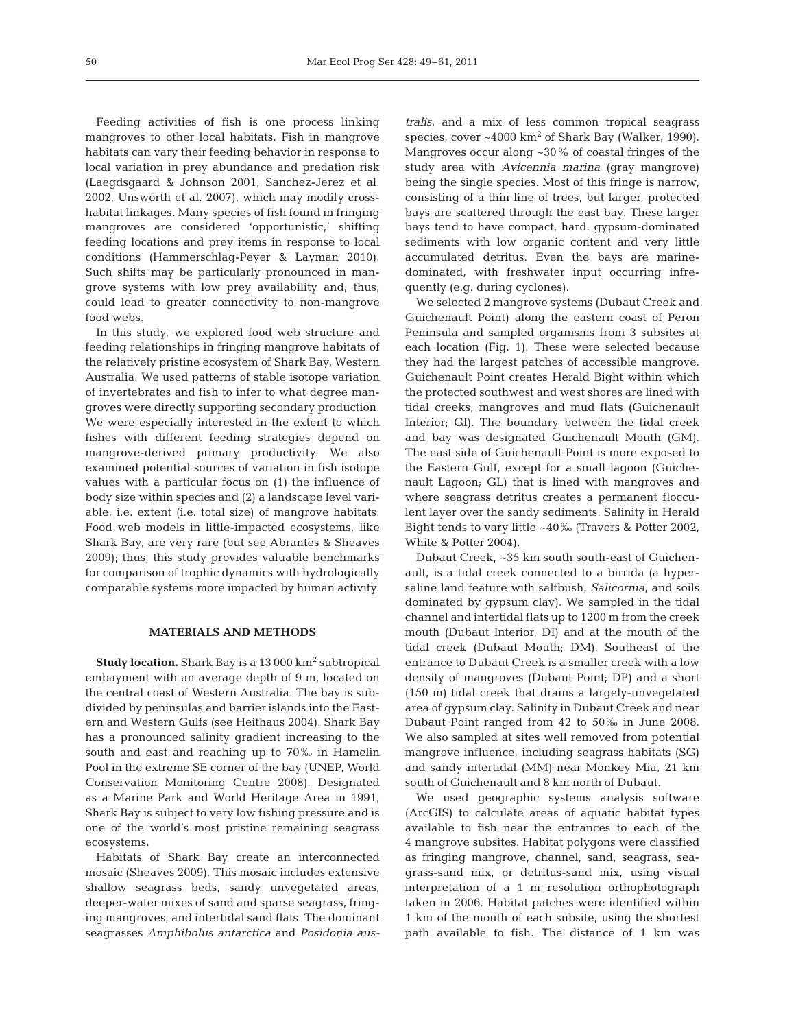Feeding activities of fish is one process linking mangroves to other local habitats. Fish in mangrove habitats can vary their feeding behavior in response to local variation in prey abundance and predation risk (Laegdsgaard & Johnson 2001, Sanchez-Jerez et al. 2002, Unsworth et al. 2007), which may modify crosshabitat linkages. Many species of fish found in fringing mangroves are considered 'opportunistic,' shifting feeding locations and prey items in response to local conditions (Hammerschlag-Peyer & Layman 2010). Such shifts may be particularly pronounced in mangrove systems with low prey availability and, thus, could lead to greater connectivity to non-mangrove food webs.

In this study, we explored food web structure and feeding relationships in fringing mangrove habitats of the relatively pristine ecosystem of Shark Bay, Western Australia. We used patterns of stable isotope variation of invertebrates and fish to infer to what degree mangroves were directly supporting secondary production. We were especially interested in the extent to which fishes with different feeding strategies depend on mangrove-derived primary productivity. We also examined potential sources of variation in fish isotope values with a particular focus on (1) the influence of body size within species and (2) a landscape level variable, i.e. extent (i.e. total size) of mangrove habitats. Food web models in little-impacted ecosystems, like Shark Bay, are very rare (but see Abrantes & Sheaves 2009); thus, this study provides valuable benchmarks for comparison of trophic dynamics with hydrologically comparable systems more impacted by human activity.

## **MATERIALS AND METHODS**

**Study location.** Shark Bay is a 13 000 km<sup>2</sup> subtropical embayment with an average depth of 9 m, located on the central coast of Western Australia. The bay is subdivided by peninsulas and barrier islands into the Eastern and Western Gulfs (see Heithaus 2004). Shark Bay has a pronounced salinity gradient increasing to the south and east and reaching up to 70‰ in Hamelin Pool in the extreme SE corner of the bay (UNEP, World Conservation Monitoring Centre 2008). Designated as a Marine Park and World Heritage Area in 1991, Shark Bay is subject to very low fishing pressure and is one of the world's most pristine remaining seagrass ecosystems.

Habitats of Shark Bay create an interconnected mosaic (Sheaves 2009). This mosaic includes extensive shallow seagrass beds, sandy unvegetated areas, deeper-water mixes of sand and sparse seagrass, fringing mangroves, and intertidal sand flats. The dominant seagrasses *Amphibolus antarctica* and *Posidonia aus-* *tralis*, and a mix of less common tropical seagrass species, cover  $\sim 4000 \text{ km}^2$  of Shark Bay (Walker, 1990). Mangroves occur along ~30% of coastal fringes of the study area with *Avicennia marina* (gray mangrove) being the single species. Most of this fringe is narrow, consisting of a thin line of trees, but larger, protected bays are scattered through the east bay. These larger bays tend to have compact, hard, gypsum-dominated sediments with low organic content and very little accumulated detritus. Even the bays are marinedominated, with freshwater input occurring infrequently (e.g. during cyclones).

We selected 2 mangrove systems (Dubaut Creek and Guichenault Point) along the eastern coast of Peron Peninsula and sampled organisms from 3 subsites at each location (Fig. 1). These were selected because they had the largest patches of accessible mangrove. Guichenault Point creates Herald Bight within which the protected southwest and west shores are lined with tidal creeks, mangroves and mud flats (Guichenault Interior; GI). The boundary between the tidal creek and bay was designated Guichenault Mouth (GM). The east side of Guichenault Point is more exposed to the Eastern Gulf, except for a small lagoon (Guiche nault Lagoon; GL) that is lined with mangroves and where seagrass detritus creates a permanent flocculent layer over the sandy sediments. Salinity in Herald Bight tends to vary little ~40‰ (Travers & Potter 2002, White & Potter 2004).

Dubaut Creek, ~35 km south south-east of Guichen ault, is a tidal creek connected to a birrida (a hypersaline land feature with saltbush, *Salicornia*, and soils dominated by gypsum clay). We sampled in the tidal channel and intertidal flats up to 1200 m from the creek mouth (Dubaut Interior, DI) and at the mouth of the tidal creek (Dubaut Mouth; DM). Southeast of the entrance to Dubaut Creek is a smaller creek with a low density of mangroves (Dubaut Point; DP) and a short (150 m) tidal creek that drains a largely-unvegetated area of gypsum clay. Salinity in Dubaut Creek and near Dubaut Point ranged from 42 to 50‰ in June 2008. We also sampled at sites well removed from potential mangrove influence, including seagrass habitats (SG) and sandy intertidal (MM) near Monkey Mia, 21 km south of Guichenault and 8 km north of Dubaut.

We used geographic systems analysis software (ArcGIS) to calculate areas of aquatic habitat types available to fish near the entrances to each of the 4 mangrove subsites. Habitat polygons were classified as fringing mangrove, channel, sand, seagrass, seagrass-sand mix, or detritus-sand mix, using visual interpretation of a 1 m resolution orthophotograph taken in 2006. Habitat patches were identified within 1 km of the mouth of each subsite, using the shortest path available to fish. The distance of 1 km was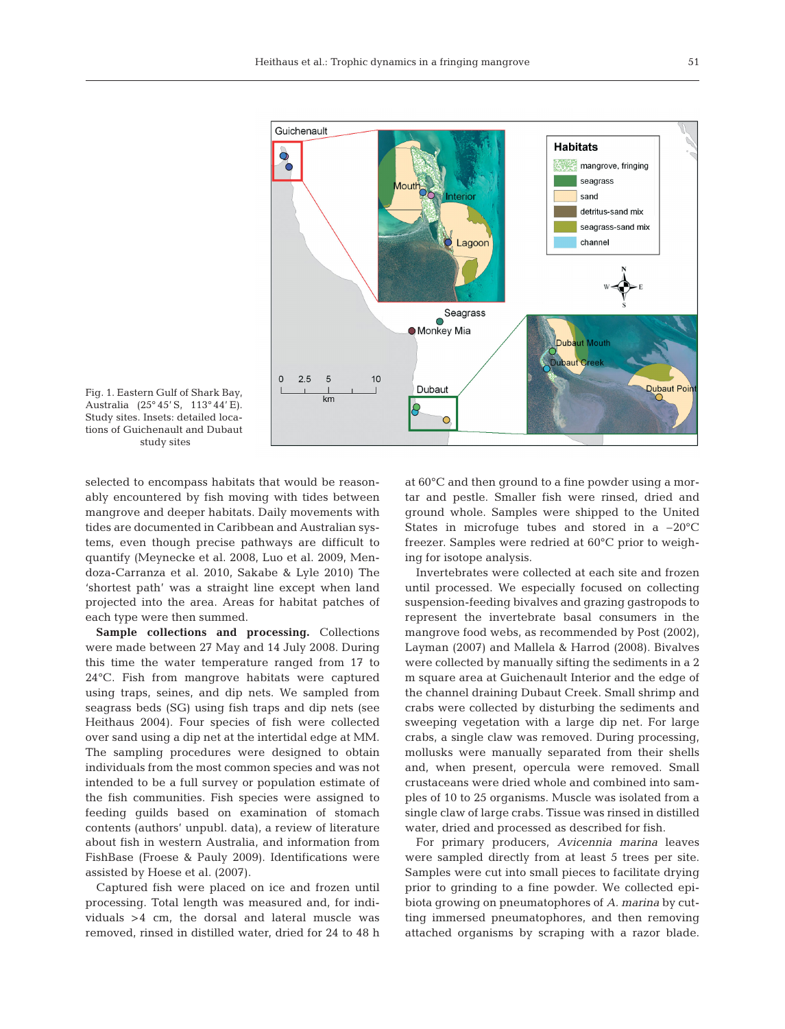



selected to encompass habitats that would be reasonably encountered by fish moving with tides between mangrove and deeper habitats. Daily movements with tides are documented in Caribbean and Australian systems, even though precise pathways are difficult to quantify (Meynecke et al. 2008, Luo et al. 2009, Mendoza-Carranza et al. 2010, Sakabe & Lyle 2010) The 'shortest path' was a straight line except when land projected into the area. Areas for habitat patches of each type were then summed.

**Sample collections and processing.** Collections were made between 27 May and 14 July 2008. During this time the water temperature ranged from 17 to 24°C. Fish from mangrove habitats were captured using traps, seines, and dip nets. We sampled from seagrass beds (SG) using fish traps and dip nets (see Heithaus 2004). Four species of fish were collected over sand using a dip net at the intertidal edge at MM. The sampling procedures were designed to obtain individuals from the most common species and was not intended to be a full survey or population estimate of the fish communities. Fish species were assigned to feeding guilds based on examination of stomach contents (authors' unpubl. data), a review of literature about fish in western Australia, and information from FishBase (Froese & Pauly 2009). Identifications were assisted by Hoese et al. (2007).

Captured fish were placed on ice and frozen until processing. Total length was measured and, for individuals >4 cm, the dorsal and lateral muscle was removed, rinsed in distilled water, dried for 24 to 48 h

at 60°C and then ground to a fine powder using a mortar and pestle. Smaller fish were rinsed, dried and ground whole. Samples were shipped to the United States in microfuge tubes and stored in a  $-20^{\circ}$ C freezer. Samples were redried at 60°C prior to weighing for isotope analysis.

Invertebrates were collected at each site and frozen until processed. We especially focused on collecting suspension-feeding bivalves and grazing gastropods to represent the invertebrate basal consumers in the mangrove food webs, as recommended by Post (2002), Layman (2007) and Mallela & Harrod (2008). Bivalves were collected by manually sifting the sediments in a 2 m square area at Guichenault Interior and the edge of the channel draining Dubaut Creek. Small shrimp and crabs were collected by disturbing the sediments and sweeping vegetation with a large dip net. For large crabs, a single claw was removed. During processing, mollusks were manually separated from their shells and, when present, opercula were removed. Small crustaceans were dried whole and combined into samples of 10 to 25 organisms. Muscle was isolated from a single claw of large crabs. Tissue was rinsed in distilled water, dried and processed as described for fish.

For primary producers, *Avicennia marina* leaves were sampled directly from at least 5 trees per site. Samples were cut into small pieces to facilitate drying prior to grinding to a fine powder. We collected epibiota growing on pneumatophores of *A. marina* by cutting immersed pneumatophores, and then removing attached organisms by scraping with a razor blade.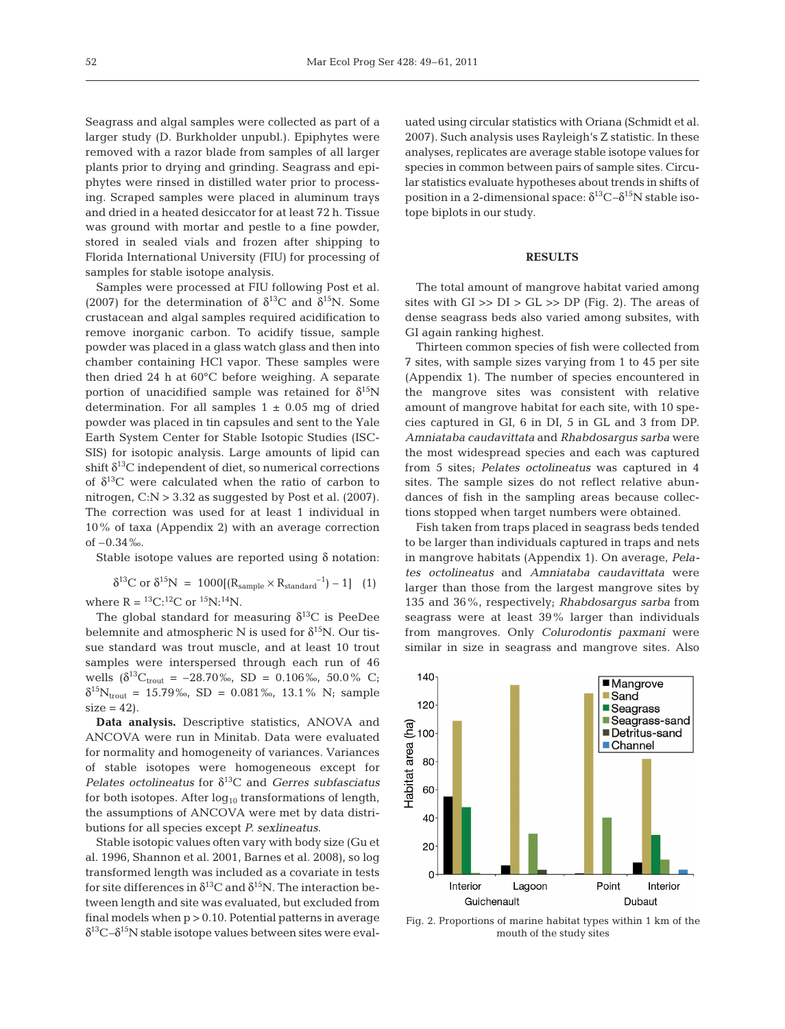Seagrass and algal samples were collected as part of a larger study (D. Burkholder unpubl.). Epiphytes were removed with a razor blade from samples of all larger plants prior to drying and grinding. Seagrass and epiphytes were rinsed in distilled water prior to processing. Scraped samples were placed in aluminum trays and dried in a heated desiccator for at least 72 h. Tissue was ground with mortar and pestle to a fine powder, stored in sealed vials and frozen after shipping to Florida International University (FIU) for processing of samples for stable isotope analysis.

Samples were processed at FIU following Post et al. (2007) for the determination of  $\delta^{13}$ C and  $\delta^{15}$ N. Some crustacean and algal samples required acidification to remove inorganic carbon. To acidify tissue, sample powder was placed in a glass watch glass and then into chamber containing HCl vapor. These samples were then dried 24 h at 60°C before weighing. A separate portion of unacidified sample was retained for  $\delta^{15}N$ determination. For all samples  $1 \pm 0.05$  mg of dried powder was placed in tin capsules and sent to the Yale Earth System Center for Stable Isotopic Studies (ISC-SIS) for isotopic analysis. Large amounts of lipid can shift  $\delta^{13}$ C independent of diet, so numerical corrections of  $\delta^{13}$ C were calculated when the ratio of carbon to nitrogen, C:N > 3.32 as suggested by Post et al. (2007). The correction was used for at least 1 individual in 10% of taxa (Appendix 2) with an average correction of –0.34‰.

Stable isotope values are reported using  $\delta$  notation:

$$
\delta^{13}C \; or \; \delta^{15}N \; = \; 1000 [(R_{sample} \times R_{standard}^{-1})-1] \ \ \, (1)
$$

where  $R = {}^{13}C: {}^{12}C$  or  ${}^{15}N: {}^{14}N$ .

The global standard for measuring  $\delta^{13}$ C is PeeDee belemnite and atmospheric N is used for  $\delta^{15}N$ . Our tissue standard was trout muscle, and at least 10 trout samples were interspersed through each run of 46 wells  $(\delta^{13}C_{\text{trout}} = -28.70\%$ , SD = 0.106‰, 50.0% C;  $\delta^{15}N_{\text{trout}} = 15.79\%$ , SD = 0.081‰, 13.1% N; sample  $size = 42$ ).

**Data analysis.** Descriptive statistics, ANOVA and ANCOVA were run in Minitab. Data were evaluated for normality and homogeneity of variances. Variances of stable isotopes were homogeneous except for *Pelates octolineatus* for  $\delta^{13}$ C and *Gerres subfasciatus* for both isotopes. After  $log_{10}$  transformations of length, the assumptions of ANCOVA were met by data distributions for all species except *P. sexlineatus*.

Stable isotopic values often vary with body size (Gu et al. 1996, Shannon et al. 2001, Barnes et al. 2008), so log transformed length was included as a covariate in tests for site differences in  $\delta^{13}$ C and  $\delta^{15}$ N. The interaction between length and site was evaluated, but excluded from final models when p > 0.10. Potential patterns in average  $\delta^{13}C-\delta^{15}N$  stable isotope values between sites were evaluated using circular statistics with Oriana (Schmidt et al. 2007). Such analysis uses Rayleigh's Z statistic. In these analyses, replicates are average stable isotope values for species in common between pairs of sample sites. Circular statistics evaluate hypotheses about trends in shifts of position in a 2-dimensional space:  $\delta^{13}C-\delta^{15}N$  stable isotope biplots in our study.

# **RESULTS**

The total amount of mangrove habitat varied among sites with  $GI \gg DI > GL \gg DP$  (Fig. 2). The areas of dense seagrass beds also varied among subsites, with GI again ranking highest.

Thirteen common species of fish were collected from 7 sites, with sample sizes varying from 1 to 45 per site (Appendix 1). The number of species encountered in the mangrove sites was consistent with relative amount of mangrove habitat for each site, with 10 species captured in GI, 6 in DI, 5 in GL and 3 from DP. *Amniataba caudavittata* and *Rhabdosargus sarba* were the most widespread species and each was captured from 5 sites; *Pelates octolineatus* was captured in 4 sites. The sample sizes do not reflect relative abundances of fish in the sampling areas because collections stopped when target numbers were obtained.

Fish taken from traps placed in seagrass beds tended to be larger than individuals captured in traps and nets in mangrove habitats (Appendix 1). On average, *Pela tes octolineatus* and *Amniataba caudavittata* were larger than those from the largest mangrove sites by 135 and 36%, respectively; *Rhabdosargus sarba* from seagrass were at least 39% larger than individuals from mangroves. Only *Colurodontis paxmani* were similar in size in seagrass and mangrove sites. Also



Fig. 2. Proportions of marine habitat types within 1 km of the mouth of the study sites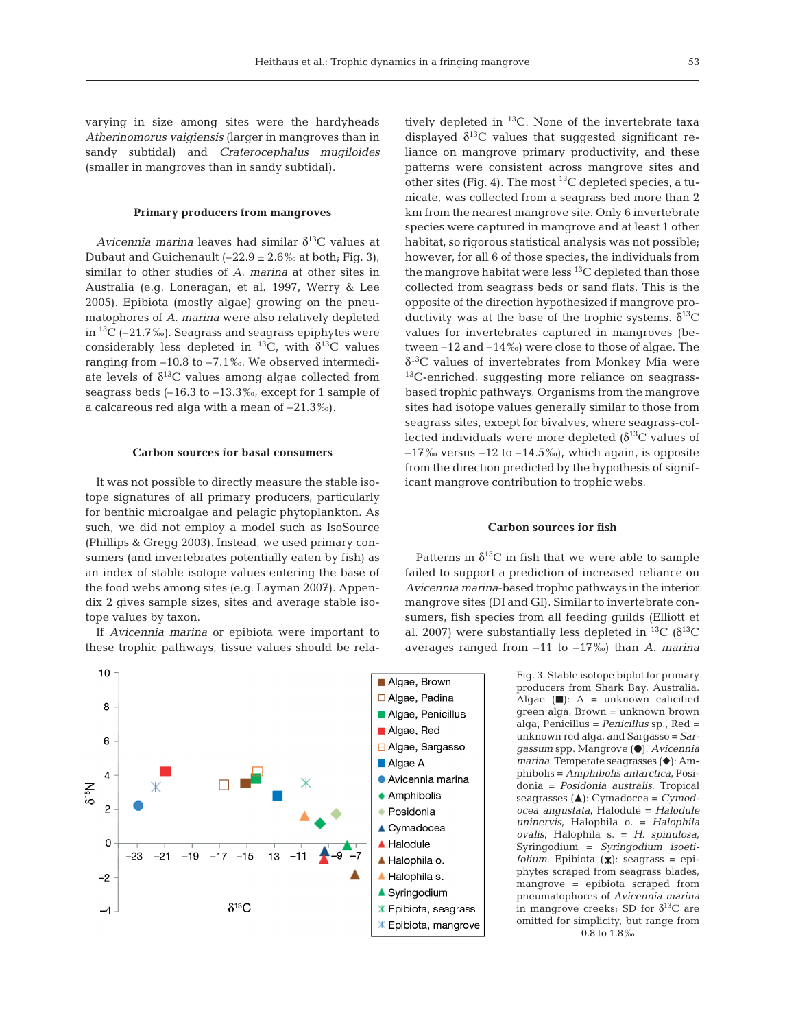varying in size among sites were the hardyheads *Atherinomorus vaigiensis* (larger in mangroves than in sandy subtidal) and *Craterocephalus mugiloides* (smaller in mangroves than in sandy subtidal).

## **Primary producers from mangroves**

*Avicennia marina* leaves had similar  $\delta^{13}$ C values at Dubaut and Guichenault  $(-22.9 \pm 2.6\%$  at both; Fig. 3), similar to other studies of *A. marina* at other sites in Australia (e.g. Loneragan, et al. 1997, Werry & Lee 2005). Epibiota (mostly algae) growing on the pneumatophores of *A. marina* were also relatively depleted in  ${}^{13}C$  (–21.7‰). Seagrass and seagrass epiphytes were considerably less depleted in <sup>13</sup>C, with  $\delta^{13}$ C values ranging from –10.8 to –7.1‰. We observed intermediate levels of  $\delta^{13}C$  values among algae collected from seagrass beds (–16.3 to –13.3‰, except for 1 sample of a calcareous red alga with a mean of –21.3‰).

#### **Carbon sources for basal consumers**

It was not possible to directly measure the stable isotope signatures of all primary producers, particularly for benthic microalgae and pelagic phytoplankton. As such, we did not employ a model such as IsoSource (Phillips & Gregg 2003). Instead, we used primary consumers (and invertebrates potentially eaten by fish) as an index of stable isotope values entering the base of the food webs among sites (e.g. Layman 2007). Appendix 2 gives sample sizes, sites and average stable isotope values by taxon.

If *Avicennia marina* or epibiota were important to these trophic pathways, tissue values should be rela-



tively depleted in  ${}^{13}$ C. None of the invertebrate taxa displayed  $\delta^{13}$ C values that suggested significant reliance on mangrove primary productivity, and these patterns were consistent across mangrove sites and other sites (Fig. 4). The most  ${}^{13}C$  depleted species, a tunicate, was collected from a seagrass bed more than 2 km from the nearest mangrove site. Only 6 invertebrate species were captured in mangrove and at least 1 other habitat, so rigorous statistical analysis was not possible; however, for all 6 of those species, the individuals from the mangrove habitat were less  $^{13}C$  depleted than those collected from seagrass beds or sand flats. This is the opposite of the direction hypothesized if mangrove productivity was at the base of the trophic systems.  $δ<sup>13</sup>C$ values for invertebrates captured in mangroves (between –12 and –14‰) were close to those of algae. The  $\delta^{13}$ C values of invertebrates from Monkey Mia were 13C-enriched, suggesting more reliance on seagrassbased trophic pathways. Organisms from the mangrove sites had isotope values generally similar to those from seagrass sites, except for bivalves, where seagrass-collected individuals were more depleted  $(\delta^{13}C$  values of  $-17\%$  versus  $-12$  to  $-14.5\%$ ), which again, is opposite from the direction predicted by the hypothesis of significant mangrove contribution to trophic webs.

#### **Carbon sources for fish**

Patterns in  $\delta^{13}$ C in fish that we were able to sample failed to support a prediction of increased reliance on *Avicennia marina*-based trophic pathways in the interior mangrove sites (DI and GI). Similar to invertebrate consumers, fish species from all feeding guilds (Elliott et al. 2007) were substantially less depleted in <sup>13</sup>C ( $\delta^{13}$ C averages ranged from  $-11$  to  $-17\%$ ) than *A. marina* 

> Fig. 3. Stable isotope biplot for primary producers from Shark Bay, Australia. Algae  $(\blacksquare)$ : A = unknown calicified green alga, Brown = unknown brown alga, Penicillus = *Penicillus* sp., Red = unknown red alga, and Sargasso = *Sargassum* spp. Mangrove (●): Avicennia *marina*. Temperate seagrasses ( $\blacklozenge$ ): Amphibolis = *Amphibolis antarctica*, Posidonia = *Posidonia australis*. Tropical seagrasses ( $\triangle$ ): Cymadocea = *Cymodocea angustata*, Halo dule = *Halodule uninervis*, Halophila o. = *Halophila ovalis*, Halophila s. = *H. spinulosa*, Syringodium = *Syringodium isoetifolium*. Epibiota (\*): seagrass = epiphytes scraped from seagrass blades, mangrove = epibiota scraped from pneumatophores of *Avicennia marina* in mangrove creeks; SD for  $\delta^{13}C$  are omitted for simplicity, but range from 0.8 to 1.8‰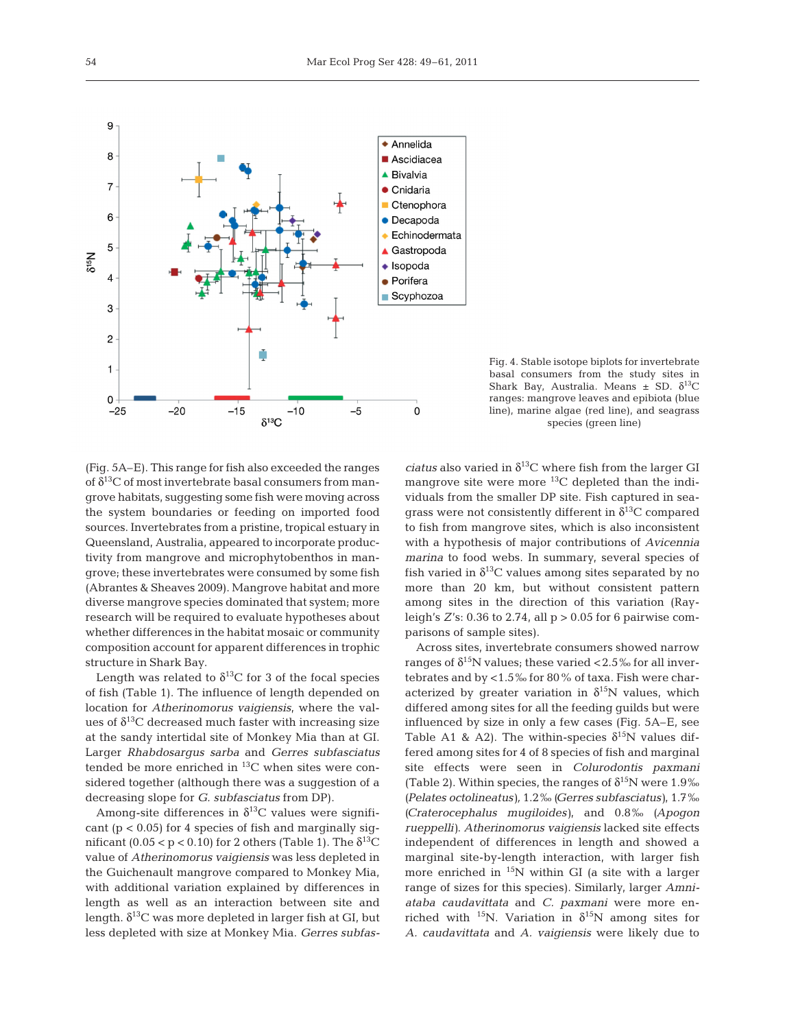

Fig. 4. Stable isotope biplots for invertebrate basal consumers from the study sites in Shark Bay, Australia. Means  $\pm$  SD.  $\delta^{13}C$ ranges: mangrove leaves and epibiota (blue line), marine algae (red line), and seagrass species (green line)

(Fig. 5A–E). This range for fish also exceeded the ranges of  $\delta^{13}$ C of most invertebrate basal consumers from mangrove habitats, suggesting some fish were moving across the system boundaries or feeding on imported food sources. Invertebrates from a pristine, tropical estuary in Queensland, Australia, appeared to incorporate productivity from mangrove and microphytobenthos in mangrove; these invertebrates were consumed by some fish (Abrantes & Sheaves 2009). Mangrove habitat and more diverse mangrove species dominated that system; more research will be required to evaluate hypotheses about whether differences in the habitat mosaic or community composition account for apparent differences in trophic structure in Shark Bay.

Length was related to  $\delta^{13}$ C for 3 of the focal species of fish (Table 1). The influence of length depended on location for *Atherinomorus vaigiensis*, where the values of  $\delta^{13}$ C decreased much faster with increasing size at the sandy intertidal site of Monkey Mia than at GI. Larger *Rhabdosargus sarba* and *Gerres subfasciatus* tended be more enriched in 13C when sites were considered together (although there was a suggestion of a decreasing slope for *G. subfasciatus* from DP).

Among-site differences in  $\delta^{13}$ C values were significant  $(p < 0.05)$  for 4 species of fish and marginally significant (0.05  $\lt p \lt 0.10$ ) for 2 others (Table 1). The  $\delta^{13}$ C value of *Atherinomorus vaigiensis* was less depleted in the Guichenault mangrove compared to Monkey Mia, with additional variation explained by differences in length as well as an interaction between site and length.  $\delta^{13}$ C was more depleted in larger fish at GI, but less depleted with size at Monkey Mia. *Gerres subfas-* *ciatus* also varied in  $\delta^{13}$ C where fish from the larger GI mangrove site were more  ${}^{13}$ C depleted than the individuals from the smaller DP site. Fish captured in seagrass were not consistently different in  $\delta^{13}$ C compared to fish from mangrove sites, which is also inconsistent with a hypothesis of major contributions of *Avicennia marina* to food webs. In summary, several species of fish varied in  $\delta^{13}C$  values among sites separated by no more than 20 km, but without consistent pattern among sites in the direction of this variation (Rayleigh's *Z*'s: 0.36 to 2.74, all p > 0.05 for 6 pairwise comparisons of sample sites).

Across sites, invertebrate consumers showed narrow ranges of  $\delta^{15}N$  values; these varied <2.5% for all invertebrates and by <1.5‰ for 80% of taxa. Fish were characterized by greater variation in  $\delta^{15}N$  values, which differed among sites for all the feeding guilds but were influenced by size in only a few cases (Fig. 5A–E, see Table A1 & A2). The within-species  $\delta^{15}N$  values differed among sites for 4 of 8 species of fish and marginal site effects were seen in *Colurodontis paxmani* (Table 2). Within species, the ranges of  $\delta^{15}N$  were 1.9‰ *(Pe la tes octolineatus),* 1.2‰ *(Gerres subfasciatus)*, 1.7‰ *(Cra terocephalus mugiloides)*, and 0.8‰ *(Apogon rueppelli)*. *Atherinomorus vaigiensis* lacked site effects independent of differences in length and showed a marginal site-by-length interaction, with larger fish more enriched in  $15N$  within GI (a site with a larger range of sizes for this species). Similarly, larger *Amniataba caudavittata* and *C. paxmani* were more enriched with <sup>15</sup>N. Variation in  $\delta^{15}N$  among sites for *A. caudavittata* and *A. vaigiensis* were likely due to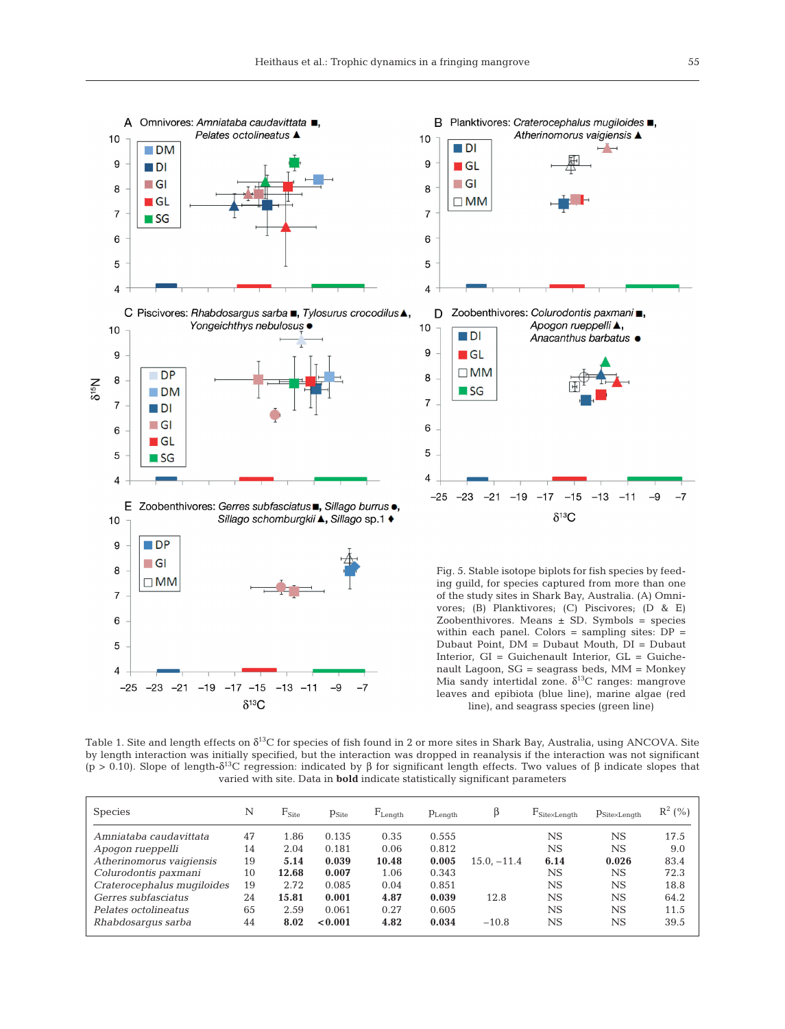



Fig. 5. Stable isotope biplots for fish species by feeding guild, for species captured from more than one of the study sites in Shark Bay, Australia. (A) Omnivores; (B) Planktivores; (C) Piscivores; (D & E) Zoobenthivores. Means  $\pm$  SD. Symbols = species within each panel. Colors = sampling sites:  $DP =$ Dubaut Point, DM = Dubaut Mouth, DI = Dubaut Interior, GI = Guichenault Interior, GL = Guiche nault Lagoon, SG = seagrass beds, MM = Monkey Mia sandy intertidal zone.  $\delta^{13}$ C ranges: mangrove leaves and epibiota (blue line), marine algae (red line), and seagrass species (green line)

Table 1. Site and length effects on  $\delta^{13}C$  for species of fish found in 2 or more sites in Shark Bay, Australia, using ANCOVA. Site by length interaction was initially specified, but the interaction was dropped in reanalysis if the interaction was not significant (p > 0.10). Slope of length-δ<sup>13</sup>C regression: indicated by β for significant length effects. Two values of β indicate slopes that varied with site. Data in **bold** indicate statistically significant parameters

| <b>Species</b>             | N  | $F_{\rm Site}$ | $p_{\text{Site}}$ | $F_{\text{Lenath}}$ | $p_{Length}$ | β             | $F_{\text{Site} \times \text{Length}}$ | $p_{\text{Site} \times \text{Length}}$ | $R^2 (%)$ |
|----------------------------|----|----------------|-------------------|---------------------|--------------|---------------|----------------------------------------|----------------------------------------|-----------|
| Amniataba caudavittata     | 47 | 1.86           | 0.135             | 0.35                | 0.555        |               | $_{\rm NS}$                            | NS                                     | 17.5      |
| Apogon rueppelli           | 14 | 2.04           | 0.181             | 0.06                | 0.812        |               | $_{\rm NS}$                            | NS                                     | 9.0       |
| Atherinomorus vaigiensis   | 19 | 5.14           | 0.039             | 10.48               | 0.005        | $15.0, -11.4$ | 6.14                                   | 0.026                                  | 83.4      |
| Colurodontis paxmani       | 10 | 12.68          | 0.007             | 1.06                | 0.343        |               | $_{\rm NS}$                            | NS                                     | 72.3      |
| Craterocephalus mugiloides | 19 | 2.72           | 0.085             | 0.04                | 0.851        |               | $_{\rm NS}$                            | <b>NS</b>                              | 18.8      |
| Gerres subfasciatus        | 24 | 15.81          | 0.001             | 4.87                | 0.039        | 12.8          | $_{\rm NS}$                            | $_{\rm NS}$                            | 64.2      |
| Pelates octolineatus       | 65 | 2.59           | 0.061             | 0.27                | 0.605        |               | $_{\rm NS}$                            | $_{\rm NS}$                            | 11.5      |
| Rhabdosarqus sarba         | 44 | 8.02           | < 0.001           | 4.82                | 0.034        | $-10.8$       | NS                                     | NS                                     | 39.5      |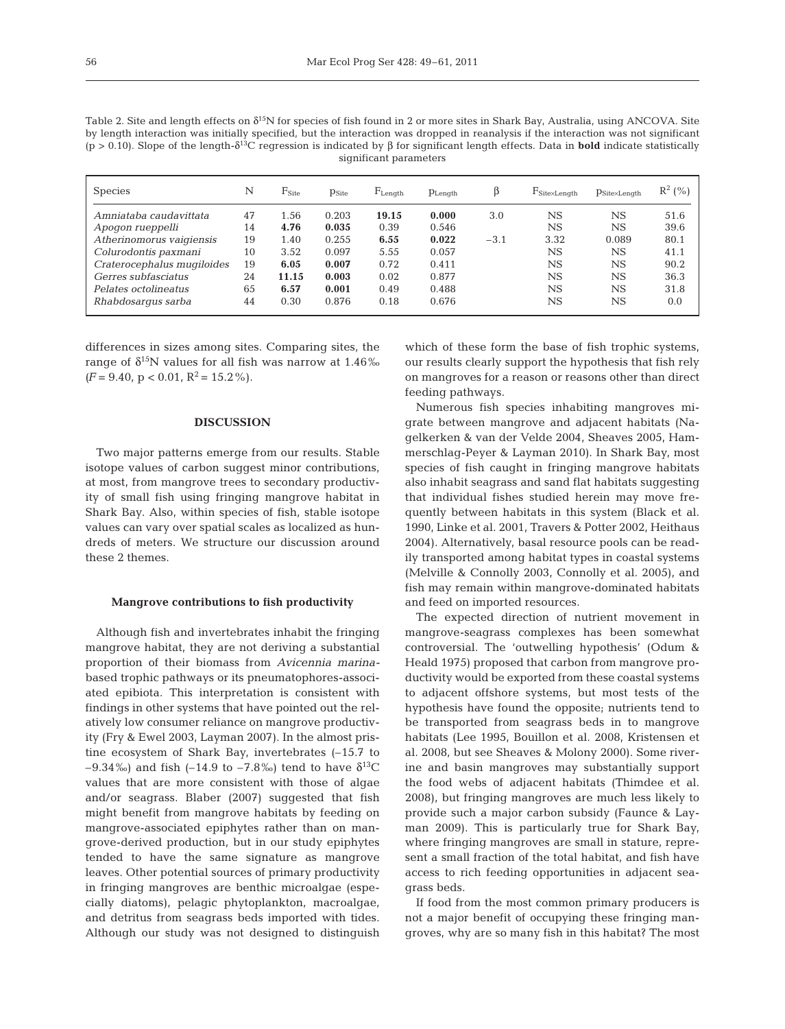Table 2. Site and length effects on δ15N for species of fish found in 2 or more sites in Shark Bay, Australia, using ANCOVA. Site by length interaction was initially specified, but the interaction was dropped in reanalysis if the interaction was not significant (p > 0.10). Slope of the length-δ13C regression is indicated by β for significant length effects. Data in **bold** indicate statistically significant parameters

| <b>Species</b>             | N  | $\text{F}_{\text{Site}}$ | $p_{\text{Site}}$ | $F_{Length}$ | $p_{Lenath}$ |        | $\text{F}_{\text{Site} \times \text{Length}}$ | $p_{\text{Site} \times \text{Length}}$ | $R^2 (%)$ |
|----------------------------|----|--------------------------|-------------------|--------------|--------------|--------|-----------------------------------------------|----------------------------------------|-----------|
| Amniataba caudavittata     | 47 | 1.56                     | 0.203             | 19.15        | 0.000        | 3.0    | $_{\rm NS}$                                   | $_{\rm NS}$                            | 51.6      |
| Apogon rueppelli           | 14 | 4.76                     | 0.035             | 0.39         | 0.546        |        | NS                                            | $_{\rm NS}$                            | 39.6      |
| Atherinomorus vaigiensis   | 19 | 1.40                     | 0.255             | 6.55         | 0.022        | $-3.1$ | 3.32                                          | 0.089                                  | 80.1      |
| Colurodontis paxmani       | 10 | 3.52                     | 0.097             | 5.55         | 0.057        |        | $_{\rm NS}$                                   | $_{\rm NS}$                            | 41.1      |
| Craterocephalus mugiloides | 19 | 6.05                     | 0.007             | 0.72         | 0.411        |        | NS                                            | $_{\rm NS}$                            | 90.2      |
| Gerres subfasciatus        | 24 | 11.15                    | 0.003             | 0.02         | 0.877        |        | NS                                            | $_{\rm NS}$                            | 36.3      |
| Pelates octolineatus       | 65 | 6.57                     | 0.001             | 0.49         | 0.488        |        | <b>NS</b>                                     | $_{\rm NS}$                            | 31.8      |
| Rhabdosarqus sarba         | 44 | 0.30                     | 0.876             | 0.18         | 0.676        |        | NS                                            | NS                                     | 0.0       |
|                            |    |                          |                   |              |              |        |                                               |                                        |           |

differences in sizes among sites. Comparing sites, the range of  $\delta^{15}N$  values for all fish was narrow at 1.46‰  $(F = 9.40, p < 0.01, R^2 = 15.2\%)$ .

## **DISCUSSION**

Two major patterns emerge from our results. Stable isotope values of carbon suggest minor contributions, at most, from mangrove trees to secondary productivity of small fish using fringing mangrove habitat in Shark Bay. Also, within species of fish, stable isotope values can vary over spatial scales as localized as hundreds of meters. We structure our discussion around these 2 themes.

## **Mangrove contributions to fish productivity**

Although fish and invertebrates inhabit the fringing mangrove habitat, they are not deriving a substantial proportion of their biomass from *Avicennia marina*based trophic pathways or its pneumatophores-associated epibiota. This interpretation is consistent with findings in other systems that have pointed out the relatively low consumer reliance on mangrove productivity (Fry & Ewel 2003, Layman 2007). In the almost pristine ecosystem of Shark Bay, invertebrates (–15.7 to –9.34‰) and fish (–14.9 to –7.8‰) tend to have  $\delta^{13}C$ values that are more consistent with those of algae and/or seagrass. Blaber (2007) suggested that fish might benefit from mangrove habitats by feeding on mangrove-associated epiphytes rather than on mangrove-derived production, but in our study epiphytes tended to have the same signature as mangrove leaves. Other potential sources of primary productivity in fringing mangroves are benthic microalgae (especially diatoms), pelagic phytoplankton, macroalgae, and detritus from seagrass beds imported with tides. Although our study was not designed to distinguish

which of these form the base of fish trophic systems, our results clearly support the hypothesis that fish rely on mangroves for a reason or reasons other than direct feeding pathways.

Numerous fish species inhabiting mangroves mi grate between mangrove and adjacent habitats (Nagelkerken & van der Velde 2004, Sheaves 2005, Hammerschlag-Peyer & Layman 2010). In Shark Bay, most species of fish caught in fringing mangrove habitats also inhabit seagrass and sand flat habitats suggesting that individual fishes studied herein may move frequently between habitats in this system (Black et al. 1990, Linke et al. 2001, Travers & Potter 2002, Heithaus 2004). Alternatively, basal resource pools can be readily transported among habitat types in coastal systems (Melville & Connolly 2003, Connolly et al. 2005), and fish may remain within mangrove-dominated habitats and feed on imported resources.

The expected direction of nutrient movement in mangrove-seagrass complexes has been somewhat controversial. The 'outwelling hypothesis' (Odum & Heald 1975) proposed that carbon from mangrove productivity would be exported from these coastal systems to adjacent offshore systems, but most tests of the hypothesis have found the opposite; nutrients tend to be transported from seagrass beds in to mangrove habitats (Lee 1995, Bouillon et al. 2008, Kristensen et al. 2008, but see Sheaves & Molony 2000). Some riverine and basin mangroves may substantially support the food webs of adjacent habitats (Thimdee et al. 2008), but fringing mangroves are much less likely to provide such a major carbon subsidy (Faunce & Layman 2009). This is particularly true for Shark Bay, where fringing mangroves are small in stature, represent a small fraction of the total habitat, and fish have access to rich feeding opportunities in adjacent seagrass beds.

If food from the most common primary producers is not a major benefit of occupying these fringing mangroves, why are so many fish in this habitat? The most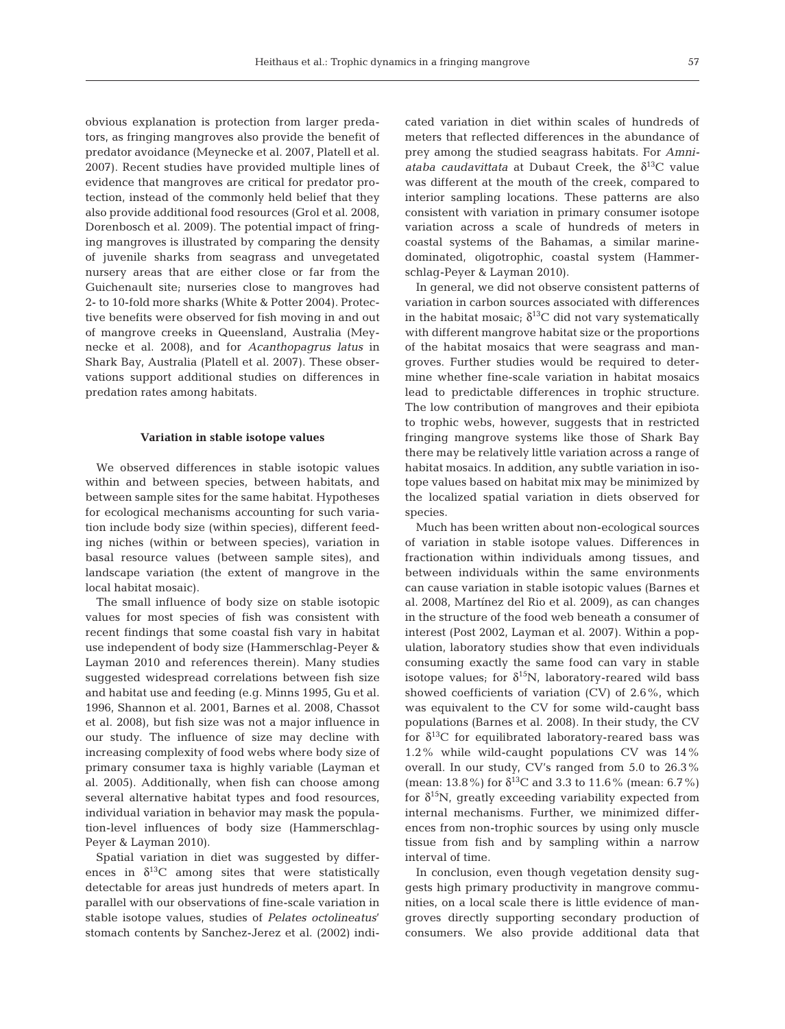obvious explanation is protection from larger predators, as fringing mangroves also provide the benefit of predator avoidance (Meynecke et al. 2007, Platell et al. 2007). Recent studies have provided multiple lines of evidence that mangroves are critical for predator protection, instead of the commonly held belief that they also provide additional food resources (Grol et al. 2008, Dorenbosch et al. 2009). The potential impact of fringing mangroves is illustrated by comparing the density of juvenile sharks from seagrass and unvegetated nursery areas that are either close or far from the Guichenault site; nurseries close to mangroves had 2- to 10-fold more sharks (White & Potter 2004). Protective benefits were observed for fish moving in and out of mangrove creeks in Queensland, Australia (Meynecke et al. 2008), and for *Acanthopagrus latus* in Shark Bay, Australia (Platell et al. 2007). These observations support additional studies on differences in predation rates among habitats.

# **Variation in stable isotope values**

We observed differences in stable isotopic values within and between species, between habitats, and between sample sites for the same habitat. Hypotheses for ecological mechanisms accounting for such variation include body size (within species), different feeding niches (within or between species), variation in basal resource values (between sample sites), and landscape variation (the extent of mangrove in the local habitat mosaic).

The small influence of body size on stable isotopic values for most species of fish was consistent with recent findings that some coastal fish vary in habitat use independent of body size (Hammerschlag-Peyer & Layman 2010 and references therein). Many studies suggested widespread correlations between fish size and habitat use and feeding (e.g. Minns 1995, Gu et al. 1996, Shannon et al. 2001, Barnes et al. 2008, Chassot et al. 2008), but fish size was not a major influence in our study. The influence of size may decline with increasing complexity of food webs where body size of primary consumer taxa is highly variable (Layman et al. 2005). Additionally, when fish can choose among several alternative habitat types and food resources, individual variation in behavior may mask the population-level influences of body size (Hammerschlag-Peyer & Layman 2010).

Spatial variation in diet was suggested by differences in  $\delta^{13}$ C among sites that were statistically detectable for areas just hundreds of meters apart. In parallel with our observations of fine-scale variation in stable isotope values, studies of *Pelates octolineatus*' stomach contents by Sanchez-Jerez et al. (2002) indicated variation in diet within scales of hundreds of meters that reflected differences in the abundance of prey among the studied seagrass habitats. For *Amniataba caudavittata* at Dubaut Creek, the  $\delta^{13}$ C value was different at the mouth of the creek, compared to interior sampling locations. These patterns are also consistent with variation in primary consumer isotope variation across a scale of hundreds of meters in coastal systems of the Bahamas, a similar marinedominated, oligotrophic, coastal system (Hammerschlag-Peyer & Layman 2010).

In general, we did not observe consistent patterns of variation in carbon sources associated with differences in the habitat mosaic;  $\delta^{13}C$  did not vary systematically with different mangrove habitat size or the proportions of the habitat mosaics that were seagrass and mangroves. Further studies would be required to determine whether fine-scale variation in habitat mosaics lead to predictable differences in trophic structure. The low contribution of mangroves and their epibiota to trophic webs, however, suggests that in restricted fringing mangrove systems like those of Shark Bay there may be relatively little variation across a range of habitat mosaics. In addition, any subtle variation in isotope values based on habitat mix may be minimized by the localized spatial variation in diets observed for species.

Much has been written about non-ecological sources of variation in stable isotope values. Differences in fractionation within individuals among tissues, and between individuals within the same environments can cause variation in stable isotopic values (Barnes et al. 2008, Martínez del Rio et al. 2009), as can changes in the structure of the food web beneath a consumer of interest (Post 2002, Layman et al. 2007). Within a population, laboratory studies show that even individuals consuming exactly the same food can vary in stable isotope values; for  $\delta^{15}N$ , laboratory-reared wild bass showed coefficients of variation (CV) of 2.6%, which was equivalent to the CV for some wild-caught bass populations (Barnes et al. 2008). In their study, the CV for  $\delta^{13}$ C for equilibrated laboratory-reared bass was 1.2% while wild-caught populations CV was 14% overall. In our study, CV's ranged from 5.0 to 26.3% (mean: 13.8%) for  $\delta^{13}$ C and 3.3 to 11.6% (mean: 6.7%) for  $\delta^{15}$ N, greatly exceeding variability expected from internal mechanisms. Further, we minimized differences from non-trophic sources by using only muscle tissue from fish and by sampling within a narrow interval of time.

In conclusion, even though vegetation density suggests high primary productivity in mangrove communities, on a local scale there is little evidence of mangroves directly supporting secondary production of consumers. We also provide additional data that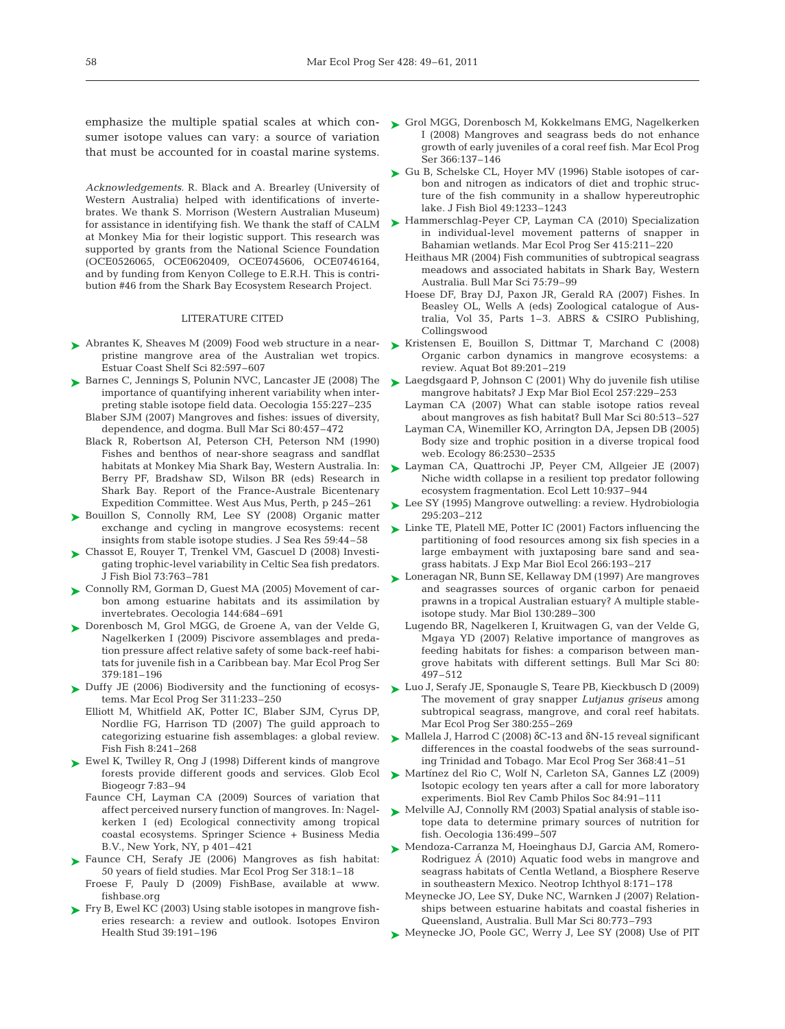sumer isotope values can vary: a source of variation that must be accounted for in coastal marine systems.

*Acknowledgements.* R. Black and A. Brearley (University of Western Australia) helped with identifications of invertebrates. We thank S. Morrison (Western Australian Museum) for assistance in identifying fish. We thank the staff of CALM at Monkey Mia for their logistic support. This research was supported by grants from the National Science Foundation (OCE0526065, OCE0620409, OCE0745606, OCE0746164, and by funding from Kenyon College to E.R.H. This is contribution #46 from the Shark Bay Ecosystem Research Project.

## LITERATURE CITED

- ▶ Abrantes K, Sheaves M (2009) Food web structure in a nearpristine mangrove area of the Australian wet tropics. Estuar Coast Shelf Sci 82:597–607
- ► Barnes C, Jennings S, Polunin NVC, Lancaster JE (2008) The ► Laegdsgaard P, Johnson C (2001) Why do juvenile fish utilise importance of quantifying inherent variability when interpreting stable isotope field data. Oecologia 155:227–235
	- Blaber SJM (2007) Mangroves and fishes: issues of diversity, dependence, and dogma. Bull Mar Sci 80:457–472
	- Black R, Robertson AI, Peterson CH, Peterson NM (1990) Fishes and benthos of near-shore seagrass and sandflat habitats at Monkey Mia Shark Bay, Western Australia. In: Berry PF, Bradshaw SD, Wilson BR (eds) Research in Shark Bay. Report of the France-Australe Bicentenary Expedition Committee. West Aus Mus, Perth, p 245–261
- ► Bouillon S, Connolly RM, Lee SY (2008) Organic matter exchange and cycling in mangrove ecosystems: recent insights from stable isotope studies. J Sea Res 59:44–58
- Chassot E, Rouyer T, Trenkel VM, Gascuel D (2008) Investi-➤ gating trophic-level variability in Celtic Sea fish predators. J Fish Biol 73:763–781
- ► Connolly RM, Gorman D, Guest MA (2005) Movement of carbon among estuarine habitats and its assimilation by invertebrates. Oecologia 144:684–691
- ▶ Dorenbosch M, Grol MGG, de Groene A, van der Velde G, Nagelkerken I (2009) Piscivore assemblages and predation pressure affect relative safety of some back-reef habitats for juvenile fish in a Caribbean bay. Mar Ecol Prog Ser 379:181–196
- ► Duffy JE (2006) Biodiversity and the functioning of ecosystems. Mar Ecol Prog Ser 311:233–250
	- Elliott M, Whitfield AK, Potter IC, Blaber SJM, Cyrus DP, Nordlie FG, Harrison TD (2007) The guild approach to cate gorizing estuarine fish assemblages: a global review. Fish Fish 8:241–268
- ► Ewel K, Twilley R, Ong J (1998) Different kinds of mangrove forests provide different goods and services. Glob Ecol Biogeogr 7:83–94
	- Faunce CH, Layman CA (2009) Sources of variation that affect perceived nursery function of mangroves. In: Nagel kerken I (ed) Ecological connectivity among tropical coastal ecosystems. Springer Science + Business Media B.V., New York, NY, p 401–421
- ▶ Faunce CH, Serafy JE (2006) Mangroves as fish habitat: 50 years of field studies. Mar Ecol Prog Ser 318:1–18 Froese F, Pauly D (2009) FishBase, available at www. fishbase.org
- ► Fry B, Ewel KC (2003) Using stable isotopes in mangrove fisheries research: a review and outlook. Isotopes Environ Health Stud 39:191–196
- emphasize the multiple spatial scales at which con-  $\triangleright$  Grol MGG, Dorenbosch M, Kokkelmans EMG, Nagelkerken I (2008) Mangroves and seagrass beds do not enhance growth of early juveniles of a coral reef fish. Mar Ecol Prog Ser 366:137–146
	- ► Gu B, Schelske CL, Hoyer MV (1996) Stable isotopes of carbon and nitrogen as indicators of diet and trophic structure of the fish community in a shallow hypereutrophic lake. J Fish Biol 49:1233–1243
	- ► Hammerschlag-Peyer CP, Layman CA (2010) Specialization in individual-level movement patterns of snapper in Bahamian wetlands. Mar Ecol Prog Ser 415:211–220
		- Heithaus MR (2004) Fish communities of subtropical seagrass meadows and associated habitats in Shark Bay, Western Australia. Bull Mar Sci 75:79–99
		- Hoese DF, Bray DJ, Paxon JR, Gerald RA (2007) Fishes. In Beasley OL, Wells A (eds) Zoological catalogue of Australia, Vol 35, Parts 1–3. ABRS & CSIRO Publishing, Collingswood
	- ► Kristensen E, Bouillon S, Dittmar T, Marchand C (2008) Organic carbon dynamics in mangrove ecosystems: a review. Aquat Bot 89:201–219
	- mangrove habitats? J Exp Mar Biol Ecol 257:229–253
	- Layman CA (2007) What can stable isotope ratios reveal about mangroves as fish habitat? Bull Mar Sci 80:513–527
	- Layman CA, Winemiller KO, Arrington DA, Jepsen DB (2005) Body size and trophic position in a diverse tropical food web. Ecology 86:2530–2535
	- ► Layman CA, Quattrochi JP, Peyer CM, Allgeier JE (2007) Niche width collapse in a resilient top predator following ecosystem fragmentation. Ecol Lett 10:937–944
	- ► Lee SY (1995) Mangrove outwelling: a review. Hydrobiologia 295:203–212
	- ► Linke TE, Platell ME, Potter IC (2001) Factors influencing the partitioning of food resources among six fish species in a large embayment with juxtaposing bare sand and seagrass habitats. J Exp Mar Biol Ecol 266:193–217
	- ► Loneragan NR, Bunn SE, Kellaway DM (1997) Are mangroves and seagrasses sources of organic carbon for penaeid prawns in a tropical Australian estuary? A multiple stableisotope study. Mar Biol 130:289–300
		- Lugendo BR, Nagelkeren I, Kruitwagen G, van der Velde G, Mgaya YD (2007) Relative importance of mangroves as feeding habitats for fishes: a comparison between mangrove habitats with different settings. Bull Mar Sci 80: 497–512
	- ► Luo J, Serafy JE, Sponaugle S, Teare PB, Kieckbusch D (2009) The movement of gray snapper *Lutjanus griseus* among subtropical seagrass, mangrove, and coral reef habitats. Mar Ecol Prog Ser 380:255–269
	- $\blacktriangleright$  Mallela J, Harrod C (2008) δC-13 and δN-15 reveal significant differences in the coastal foodwebs of the seas surrounding Trinidad and Tobago. Mar Ecol Prog Ser 368:41–51
	- ▶ Martínez del Rio C, Wolf N, Carleton SA, Gannes LZ (2009) Isotopic ecology ten years after a call for more laboratory experiments. Biol Rev Camb Philos Soc 84:91–111
	- ▶ Melville AJ, Connolly RM (2003) Spatial analysis of stable isotope data to determine primary sources of nutrition for fish. Oecologia 136:499–507
	- ► Mendoza-Carranza M, Hoeinghaus DJ, Garcia AM, Romero-Rodriguez Á (2010) Aquatic food webs in mangrove and seagrass habitats of Centla Wetland, a Biosphere Reserve in southeastern Mexico. Neotrop Ichthyol 8:171–178
		- Meynecke JO, Lee SY, Duke NC, Warnken J (2007) Relationships between estuarine habitats and coastal fisheries in Queensland, Australia. Bull Mar Sci 80:773–793
	- ► Meynecke JO, Poole GC, Werry J, Lee SY (2008) Use of PIT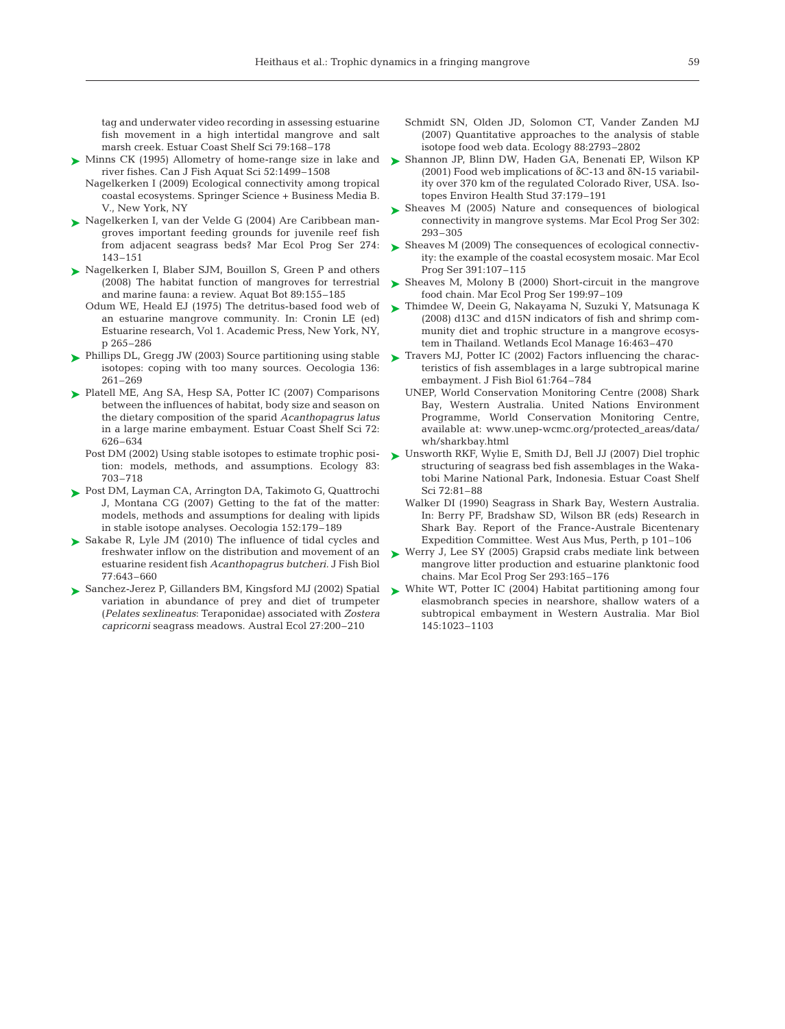tag and underwater video recording in assessing estuarine fish movement in a high intertidal mangrove and salt marsh creek. Estuar Coast Shelf Sci 79:168–178

- ► Minns CK (1995) Allometry of home-range size in lake and river fishes. Can J Fish Aquat Sci 52:1499–1508
	- Nagelkerken I (2009) Ecological connectivity among tropical coastal ecosystems. Springer Science + Business Media B. V., New York, NY
- ► Nagelkerken I, van der Velde G (2004) Are Caribbean mangroves important feeding grounds for juvenile reef fish from adjacent seagrass beds? Mar Ecol Prog Ser 274: 143–151
- ► Nagelkerken I, Blaber SJM, Bouillon S, Green P and others (2008) The habitat function of mangroves for terrestrial and marine fauna: a review. Aquat Bot 89:155–185
	- Odum WE, Heald EJ (1975) The detritus-based food web of an estuarine mangrove community. In: Cronin LE (ed) Estuarine research, Vol 1. Academic Press, New York, NY, p 265–286
- ► Phillips DL, Gregg JW (2003) Source partitioning using stable isotopes: coping with too many sources. Oecologia 136: 261–269
- ► Platell ME, Ang SA, Hesp SA, Potter IC (2007) Comparisons between the influences of habitat, body size and season on the dietary composition of the sparid *Acanthopagrus latus* in a large marine embayment. Estuar Coast Shelf Sci 72: 626–634
	- Post DM (2002) Using stable isotopes to estimate trophic position: models, methods, and assumptions. Ecology 83: 703–718
- ► Post DM, Layman CA, Arrington DA, Takimoto G, Quattrochi J, Montana CG (2007) Getting to the fat of the matter: models, methods and assumptions for dealing with lipids in stable isotope analyses. Oecologia 152:179–189
- ► Sakabe R, Lyle JM (2010) The influence of tidal cycles and freshwater inflow on the distribution and movement of an estuarine resident fish *Acanthopagrus butcheri.* J Fish Biol 77:643–660
- ► Sanchez-Jerez P, Gillanders BM, Kingsford MJ (2002) Spatial variation in abundance of prey and diet of trumpeter (*Pelates sexlineatus*: Teraponidae) associated with *Zostera capricorni* seagrass meadows. Austral Ecol 27:200–210
- Schmidt SN, Olden JD, Solomon CT, Vander Zanden MJ (2007) Quantitative approaches to the analysis of stable isotope food web data. Ecology 88:2793–2802
- ► Shannon JP, Blinn DW, Haden GA, Benenati EP, Wilson KP (2001) Food web implications of  $\delta$ C-13 and  $\delta$ N-15 variability over 370 km of the regulated Colorado River, USA. Isotopes Environ Health Stud 37:179–191
- ► Sheaves M (2005) Nature and consequences of biological connectivity in mangrove systems. Mar Ecol Prog Ser 302: 293–305
- ► Sheaves M (2009) The consequences of ecological connectivity: the example of the coastal ecosystem mosaic. Mar Ecol Prog Ser 391:107–115
- ► Sheaves M, Molony B (2000) Short-circuit in the mangrove food chain. Mar Ecol Prog Ser 199:97–109
- ► Thimdee W, Deein G, Nakayama N, Suzuki Y, Matsunaga K (2008) d13C and d15N indicators of fish and shrimp community diet and trophic structure in a mangrove ecosystem in Thailand. Wetlands Ecol Manage 16:463–470
- ► Travers MJ, Potter IC (2002) Factors influencing the characteristics of fish assemblages in a large subtropical marine embayment. J Fish Biol 61:764–784
	- UNEP, World Conservation Monitoring Centre (2008) Shark Bay, Western Australia. United Nations Environment Programme, World Conservation Monitoring Centre, available at: www.unep-wcmc.org/protected\_areas/data/ wh/sharkbay.html
- ► Unsworth RKF, Wylie E, Smith DJ, Bell JJ (2007) Diel trophic structuring of seagrass bed fish assemblages in the Wakatobi Marine National Park, Indonesia. Estuar Coast Shelf Sci 72:81–88
	- Walker DI (1990) Seagrass in Shark Bay, Western Australia. In: Berry PF, Bradshaw SD, Wilson BR (eds) Research in Shark Bay. Report of the France-Australe Bicentenary Expedition Committee. West Aus Mus, Perth, p 101–106
- ► Werry J, Lee SY (2005) Grapsid crabs mediate link between mangrove litter production and estuarine planktonic food chains. Mar Ecol Prog Ser 293:165–176
- ► White WT, Potter IC (2004) Habitat partitioning among four elasmobranch species in nearshore, shallow waters of a subtropical embayment in Western Australia. Mar Biol 145:1023–1103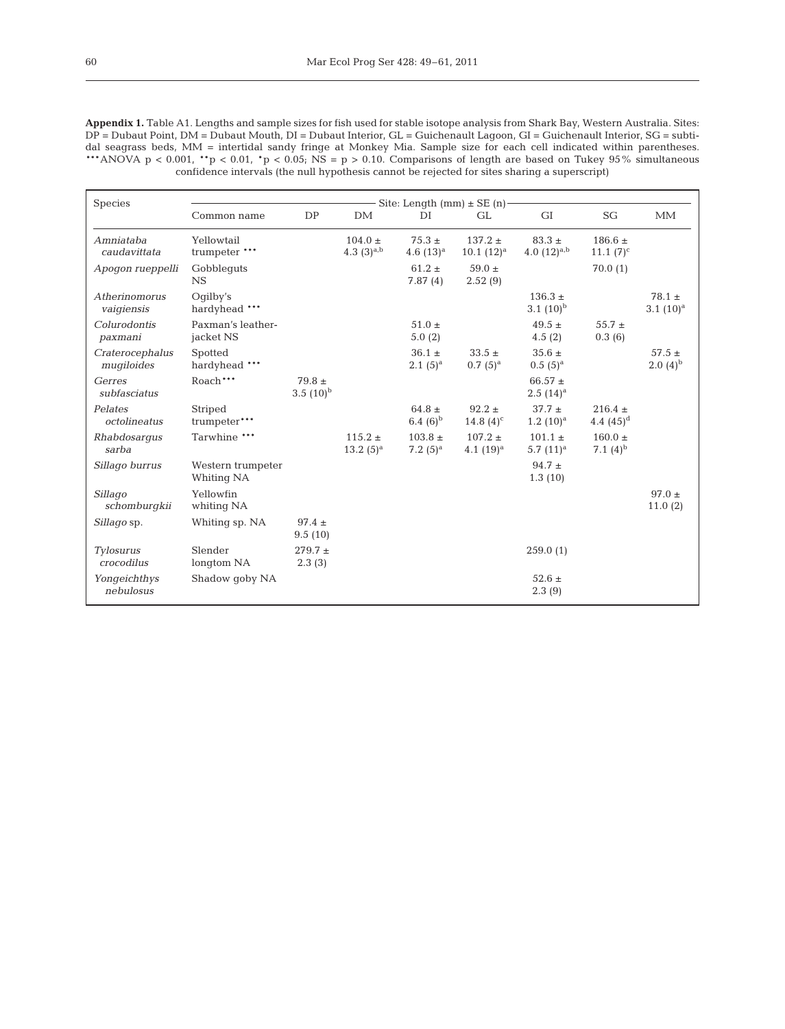| Species                        | Site: Length (mm) $\pm$ SE (n)  |                             |                                |                            |                              |                                |                              |                            |  |  |
|--------------------------------|---------------------------------|-----------------------------|--------------------------------|----------------------------|------------------------------|--------------------------------|------------------------------|----------------------------|--|--|
|                                | Common name                     | <b>DP</b>                   | DM                             | DI                         | GL                           | <b>GI</b>                      | SG                           | <b>MM</b>                  |  |  |
| Amniataba<br>caudavittata      | Yellowtail<br>trumpeter ***     |                             | $104.0 \pm$<br>4.3 $(3)^{a,b}$ | $75.3 \pm$<br>4.6 $(13)^a$ | $137.2 \pm$<br>$10.1~(12)^a$ | $83.3 \pm$<br>4.0 $(12)^{a,b}$ | $186.6 \pm$<br>11.1 $(7)^c$  |                            |  |  |
| Apoqon rueppelli               | Gobblequts<br><b>NS</b>         |                             |                                | $61.2 \pm$<br>7.87(4)      | $59.0 \pm$<br>2.52(9)        |                                | 70.0(1)                      |                            |  |  |
| Atherinomorus<br>vaigiensis    | Oqilby's<br>hardyhead ***       |                             |                                |                            |                              | $136.3 +$<br>3.1 $(10)^{b}$    |                              | $78.1 \pm$<br>3.1 $(10)^a$ |  |  |
| Colurodontis<br>paxmani        | Paxman's leather-<br>jacket NS  |                             |                                | $51.0 \pm$<br>5.0(2)       |                              | $49.5 \pm$<br>4.5(2)           | 55.7 $\pm$<br>0.3(6)         |                            |  |  |
| Craterocephalus<br>mugiloides  | Spotted<br>hardyhead ***        |                             |                                | $36.1 \pm$<br>$2.1(5)^a$   | $33.5 \pm$<br>$0.7(5)^{a}$   | $35.6 \pm$<br>$0.5(5)^{a}$     |                              | $57.5 +$<br>$2.0(4)^{b}$   |  |  |
| Gerres<br>subfasciatus         | Roach***                        | $79.8 \pm$<br>$3.5(10)^{b}$ |                                |                            |                              | $66.57 \pm$<br>$2.5(14)^{a}$   |                              |                            |  |  |
| Pelates<br>octolineatus        | Striped<br>trumpeter***         |                             |                                | $64.8 \pm$<br>6.4 $(6)^b$  | $92.2 \pm$<br>14.8 $(4)^c$   | $37.7 +$<br>$1.2~(10)^a$       | $216.4 \pm$<br>4.4 $(45)^d$  |                            |  |  |
| Rhabdosarqus<br>sarba          | Tarwhine ***                    |                             | $115.2 \pm$<br>$13.2(5)^a$     | $103.8 \pm$<br>7.2 $(5)^a$ | $107.2 \pm$<br>4.1 $(19)^a$  | $101.1 \pm$<br>5.7 $(11)^a$    | $160.0 \pm$<br>7.1 $(4)^{b}$ |                            |  |  |
| Sillago burrus                 | Western trumpeter<br>Whiting NA |                             |                                |                            |                              | $94.7 \pm$<br>1.3(10)          |                              |                            |  |  |
| Sillago<br>schomburgkii        | Yellowfin<br>whiting NA         |                             |                                |                            |                              |                                |                              | $97.0 \pm$<br>11.0(2)      |  |  |
| Sillago sp.                    | Whiting sp. NA                  | $97.4 \pm$<br>9.5(10)       |                                |                            |                              |                                |                              |                            |  |  |
| <b>Tylosurus</b><br>crocodilus | Slender<br>longtom NA           | $279.7 +$<br>2.3(3)         |                                |                            |                              | 259.0(1)                       |                              |                            |  |  |
| Yongeichthys<br>nebulosus      | Shadow qoby NA                  |                             |                                |                            |                              | $52.6 \pm$<br>2.3(9)           |                              |                            |  |  |